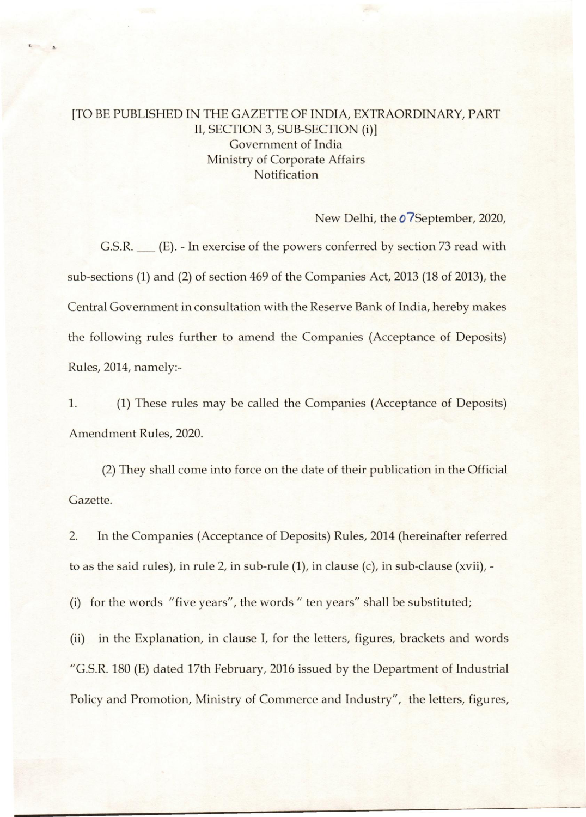## [TO BE PUBLISHED IN THE GAZETTE OF INDIA, EXTRAORDINARY, PART II, SECTION 3, SUB-SECTION (i)] Government of India Ministry of Corporate Affairs **Notification**

New Delhi, the  $\boldsymbol{0}$ ?September, 2020,

G.S.R. <sub>\_\_\_</sub> (E). - In exercise of the powers conferred by section 73 read with sub-sections (1) and (2) of section 469 of the Companies Act, 2013 (18 of 2013), the Central Government in consultation with the Reserve Bank of India, hereby makes the following rules further to amend the Companies (Acceptance of Deposits) Rules, 2014, namely:-

1. (1) These rules may be called the Companies (Acceptance of Deposits) Amendment Rules, 2020.

(2) They shall come into force on the date of their publication in the Official Gazette.

2. In the Companies (Acceptance of Deposits) Rules, 2014 (hereinafter referred to as the said rules), in rule 2, in sub-rule (1), in clause (c), in sub-clause (xvii), -

(i) for the words "five years", the words" ten years" shall be substituted;

(ii) in the Explanation, in clause I, for the letters, figures, brackets and words "G.s.R. 180 (E) dated 17th February, 2016 issued by the Department of Industrial Policy and Promotion, Ministry of Commerce and Industry", the letters, figures,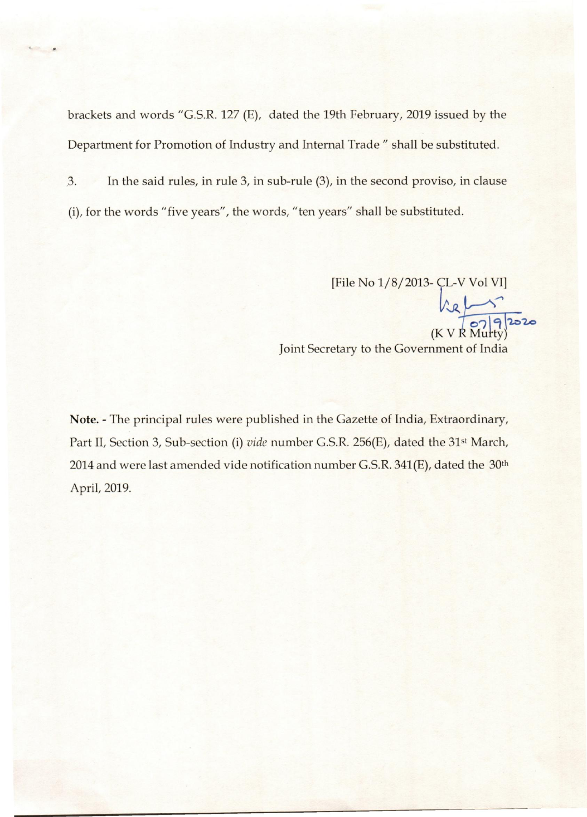brackets and words "G.s.R. 127 (E), dated the 19th February, 2019 issued by the Department for Promotion of Industry and Internal Trade" shall be substituted.

3. In the said rules, in rule 3, in sub-rule (3), in the second proviso, in clause (i), for the words" five years", the words, "ten years" shall be substituted.

[File No 1/8/2013- ÇL-V Vol VI]

 $-20$  07 9 2020  $(K V R Murty)$ Joint Secretary to the Government of India

**Note. -** The principal rules were published in the Gazette of India, Extraordinary, Part II, Section 3, Sub-section (i) *vide* number G.S.R. 256(E), dated the 31<sup>st</sup> March, 2014 and were last amended vide notification number G.S.R.  $341(E)$ , dated the  $30th$ April, 2019.